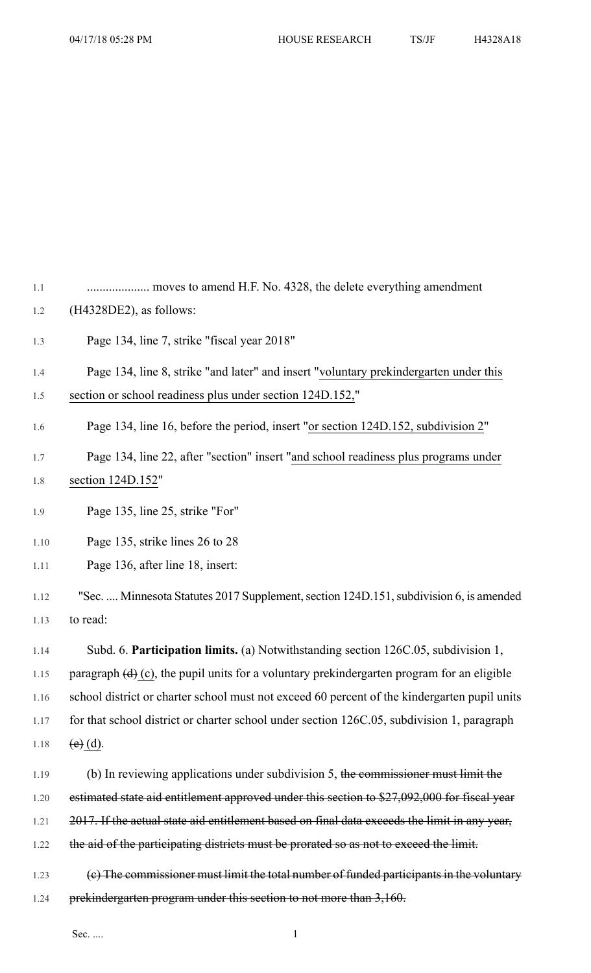1.1 .................... moves to amend H.F. No. 4328, the delete everything amendment 1.2 (H4328DE2), as follows:

1.3 Page 134, line 7, strike "fiscal year 2018"

## 1.4 Page 134, line 8, strike "and later" and insert "voluntary prekindergarten under this 1.5 section or school readiness plus under section 124D.152,"

- 1.6 Page 134, line 16, before the period, insert "or section 124D.152, subdivision 2"
- 1.7 Page 134, line 22, after "section" insert "and school readiness plus programs under 1.8 section 124D.152"
- 1.9 Page 135, line 25, strike "For"
- 1.10 Page 135, strike lines 26 to 28
- 1.11 Page 136, after line 18, insert:
- 1.12 "Sec. .... Minnesota Statutes 2017 Supplement, section 124D.151, subdivision 6, is amended 1.13 to read:

1.14 Subd. 6. **Participation limits.** (a) Notwithstanding section 126C.05, subdivision 1, 1.15 paragraph  $(d)$  (c), the pupil units for a voluntary prekindergarten program for an eligible 1.16 school district or charter school must not exceed 60 percent of the kindergarten pupil units 1.17 for that school district or charter school under section 126C.05, subdivision 1, paragraph 1.18 (e) (d).

- 1.19 (b) In reviewing applications under subdivision 5, the commissioner must limit the 1.20 estimated state aid entitlement approved under this section to \$27,092,000 for fiscal year 1.21 2017. If the actual state aid entitlement based on final data exceeds the limit in any year, 1.22 the aid of the participating districts must be prorated so as not to exceed the limit. 1.23 (c) The commissioner must limit the total number of funded participants in the voluntary
- 1.24 prekindergarten program under this section to not more than 3,160.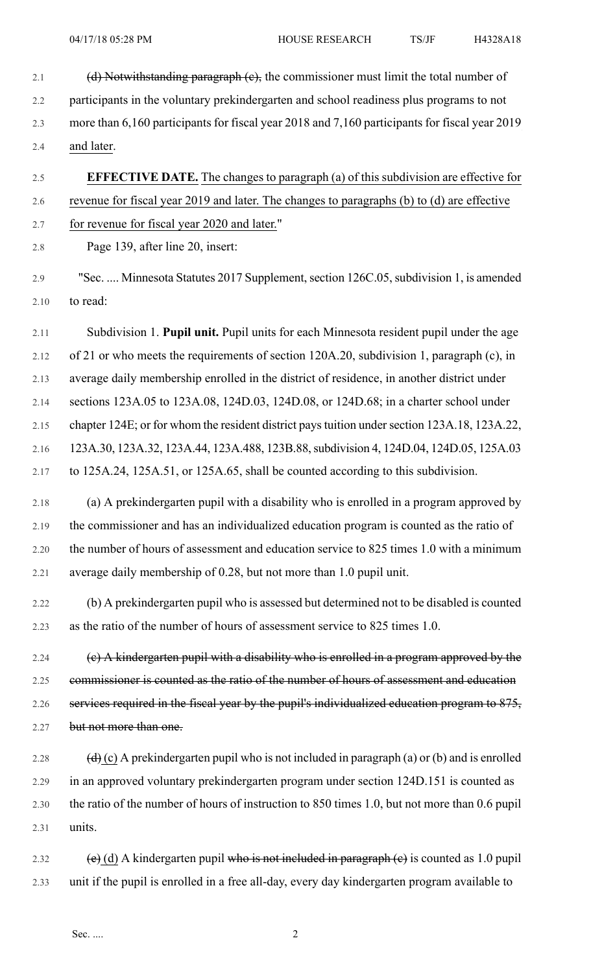- 2.1 (d) Notwithstanding paragraph (c), the commissioner must limit the total number of 2.2 participants in the voluntary prekindergarten and school readiness plus programs to not 2.3 more than 6,160 participants for fiscal year 2018 and 7,160 participants for fiscal year 2019 2.4 and later.
- 2.5 **EFFECTIVE DATE.** The changes to paragraph (a) of this subdivision are effective for 2.6 revenue for fiscal year 2019 and later. The changes to paragraphs (b) to (d) are effective

2.7 for revenue for fiscal year 2020 and later."

2.8 Page 139, after line 20, insert:

2.9 "Sec. .... Minnesota Statutes 2017 Supplement,section 126C.05,subdivision 1, is amended 2.10 to read:

2.11 Subdivision 1. **Pupil unit.** Pupil units for each Minnesota resident pupil under the age 2.12 of 21 or who meets the requirements of section 120A.20, subdivision 1, paragraph (c), in

2.13 average daily membership enrolled in the district of residence, in another district under

2.14 sections 123A.05 to 123A.08, 124D.03, 124D.08, or 124D.68; in a charter school under

2.15 chapter 124E; or for whom the resident district paystuition undersection 123A.18, 123A.22,

2.16 123A.30, 123A.32, 123A.44, 123A.488, 123B.88,subdivision 4, 124D.04, 124D.05, 125A.03 2.17 to 125A.24, 125A.51, or 125A.65, shall be counted according to this subdivision.

2.18 (a) A prekindergarten pupil with a disability who is enrolled in a program approved by 2.19 the commissioner and has an individualized education program is counted as the ratio of 2.20 the number of hours of assessment and education service to 825 times 1.0 with a minimum 2.21 average daily membership of 0.28, but not more than 1.0 pupil unit.

2.22 (b) A prekindergarten pupil who is assessed but determined not to be disabled is counted 2.23 as the ratio of the number of hours of assessment service to 825 times 1.0.

2.24 (c) A kindergarten pupil with a disability who is enrolled in a program approved by the 2.25 commissioner is counted as the ratio of the number of hours of assessment and education 2.26 services required in the fiscal year by the pupil's individualized education program to 875, 2.27 but not more than one.

2.28  $(d)$  (c) A prekindergarten pupil who is not included in paragraph (a) or (b) and is enrolled 2.29 in an approved voluntary prekindergarten program under section 124D.151 is counted as 2.30 the ratio of the number of hours of instruction to 850 times 1.0, but not more than 0.6 pupil 2.31 units.

2.32 (e) (d) A kindergarten pupil who is not included in paragraph (e) is counted as 1.0 pupil 2.33 unit if the pupil is enrolled in a free all-day, every day kindergarten program available to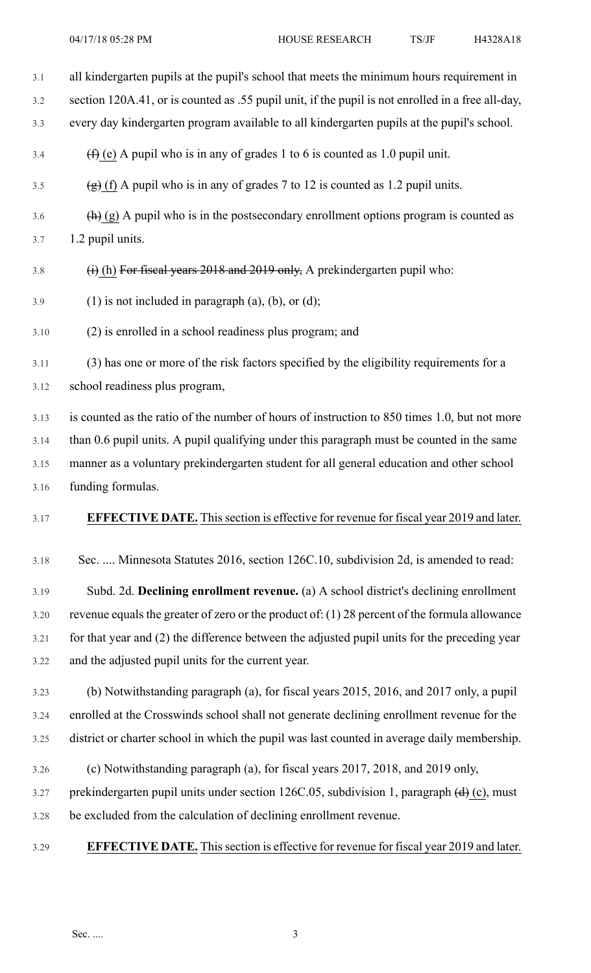| 3.1  | all kindergarten pupils at the pupil's school that meets the minimum hours requirement in                         |
|------|-------------------------------------------------------------------------------------------------------------------|
| 3.2  | section 120A.41, or is counted as .55 pupil unit, if the pupil is not enrolled in a free all-day,                 |
| 3.3  | every day kindergarten program available to all kindergarten pupils at the pupil's school.                        |
| 3.4  | $(f)$ (e) A pupil who is in any of grades 1 to 6 is counted as 1.0 pupil unit.                                    |
| 3.5  | $(g)$ (f) A pupil who is in any of grades 7 to 12 is counted as 1.2 pupil units.                                  |
| 3.6  | $\left(\frac{h}{h}\right)$ (g) A pupil who is in the postsecondary enrollment options program is counted as       |
| 3.7  | 1.2 pupil units.                                                                                                  |
| 3.8  | $(i)$ (h) For fiscal years 2018 and 2019 only, A prekindergarten pupil who:                                       |
| 3.9  | $(1)$ is not included in paragraph $(a)$ , $(b)$ , or $(d)$ ;                                                     |
| 3.10 | (2) is enrolled in a school readiness plus program; and                                                           |
| 3.11 | (3) has one or more of the risk factors specified by the eligibility requirements for a                           |
| 3.12 | school readiness plus program,                                                                                    |
| 3.13 | is counted as the ratio of the number of hours of instruction to 850 times 1.0, but not more                      |
| 3.14 | than 0.6 pupil units. A pupil qualifying under this paragraph must be counted in the same                         |
| 3.15 | manner as a voluntary prekindergarten student for all general education and other school                          |
| 3.16 | funding formulas.                                                                                                 |
| 3.17 | <b>EFFECTIVE DATE.</b> This section is effective for revenue for fiscal year 2019 and later.                      |
| 3.18 | Sec.  Minnesota Statutes 2016, section 126C.10, subdivision 2d, is amended to read:                               |
| 3.19 | Subd. 2d. Declining enrollment revenue. (a) A school district's declining enrollment                              |
| 3.20 | revenue equals the greater of zero or the product of: (1) 28 percent of the formula allowance                     |
| 3.21 | for that year and (2) the difference between the adjusted pupil units for the preceding year                      |
| 3.22 | and the adjusted pupil units for the current year.                                                                |
| 3.23 | (b) Notwithstanding paragraph (a), for fiscal years 2015, 2016, and 2017 only, a pupil                            |
| 3.24 | enrolled at the Crosswinds school shall not generate declining enrollment revenue for the                         |
| 3.25 | district or charter school in which the pupil was last counted in average daily membership.                       |
| 3.26 | (c) Notwithstanding paragraph (a), for fiscal years 2017, 2018, and 2019 only,                                    |
| 3.27 | prekindergarten pupil units under section 126C.05, subdivision 1, paragraph $\left(\frac{d}{dx}\right)$ (c), must |
| 3.28 | be excluded from the calculation of declining enrollment revenue.                                                 |
| 3.29 | <b>EFFECTIVE DATE.</b> This section is effective for revenue for fiscal year 2019 and later.                      |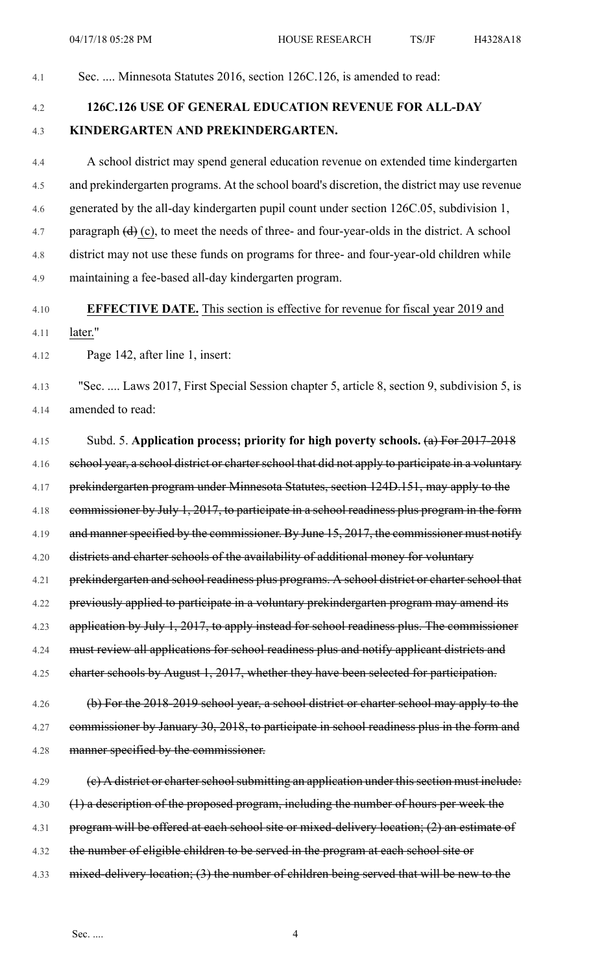4.1 Sec. .... Minnesota Statutes 2016, section 126C.126, is amended to read:

## 4.2 **126C.126 USE OF GENERAL EDUCATION REVENUE FOR ALL-DAY** 4.3 **KINDERGARTEN AND PREKINDERGARTEN.**

4.4 A school district may spend general education revenue on extended time kindergarten 4.5 and prekindergarten programs. At the school board's discretion, the district may use revenue 4.6 generated by the all-day kindergarten pupil count under section 126C.05, subdivision 1, 4.7 paragraph  $(d)$  (c), to meet the needs of three- and four-year-olds in the district. A school 4.8 district may not use these funds on programs for three- and four-year-old children while 4.9 maintaining a fee-based all-day kindergarten program.

## 4.10 **EFFECTIVE DATE.** This section is effective for revenue for fiscal year 2019 and

4.11 later."

4.12 Page 142, after line 1, insert:

4.13 "Sec. .... Laws 2017, First Special Session chapter 5, article 8, section 9, subdivision 5, is 4.14 amended to read:

4.15 Subd. 5. **Application process; priority for high poverty schools.** (a) For 2017-2018 4.16 school year, a school district or charter school that did not apply to participate in a voluntary 4.17 prekindergarten program under Minnesota Statutes, section 124D.151, may apply to the 4.18 commissioner by July 1, 2017, to participate in a school readiness plus program in the form 4.19 and manner specified by the commissioner. By June 15, 2017, the commissioner must notify 4.20 districts and charter schools of the availability of additional money for voluntary 4.21 prekindergarten and school readiness plus programs. A school district or charter school that 4.22 previously applied to participate in a voluntary prekindergarten program may amend its 4.23 application by July 1, 2017, to apply instead for school readiness plus. The commissioner 4.24 must review all applications for school readiness plus and notify applicant districts and 4.25 charter schools by August 1, 2017, whether they have been selected for participation.

4.26 (b) For the 2018-2019 school year, a school district or charter school may apply to the 4.27 commissioner by January 30, 2018, to participate in school readiness plus in the form and 4.28 manner specified by the commissioner.

4.29 (c) A district or charter school submitting an application under this section must include: 4.30 (1) a description of the proposed program, including the number of hours per week the 4.31 program will be offered at each school site or mixed-delivery location; (2) an estimate of 4.32 the number of eligible children to be served in the program at each school site or 4.33 mixed-delivery location; (3) the number of children being served that will be new to the